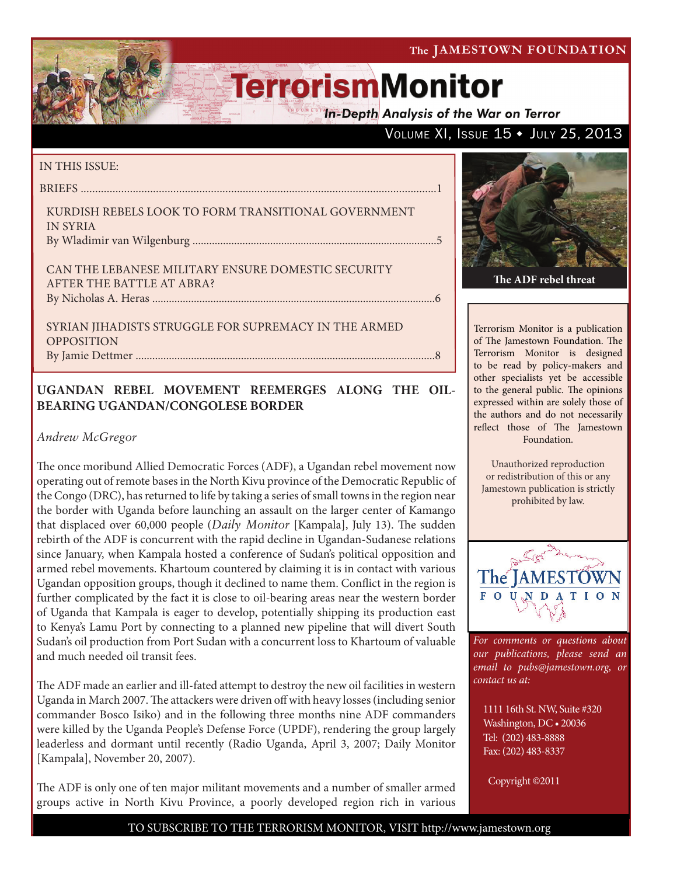**In-Depth Analysis of the War on Terror** 

### VOLUME XI, ISSUE 15 + JULY 25, 2013

#### IN THIS ISSUE:

briefs ...........................................................................................................................1

Kurdish Rebels Look to Form Transitional Government in Syria By Wladimir van Wilgenburg ........................................................................................5

Can the Lebanese Military Ensure Domestic Security AFTER THE BATTLE AT ABRA? by Nicholas A. Heras ......................................................................................................6

SYRIAN JIHADISTS STRUGGLE FOR SUPREMACY IN THE ARMED **OPPOSITION** By Jamie Dettmer ............................................................................................................8

### **UGANDAN REBEL MOVEMENT REEMERGES ALONG THE OIL-BEARING UGANDAN/CONGOLESE BORDER**

#### *Andrew McGregor*

The once moribund Allied Democratic Forces (ADF), a Ugandan rebel movement now operating out of remote bases in the North Kivu province of the Democratic Republic of the Congo (DRC), has returned to life by taking a series of small towns in the region near the border with Uganda before launching an assault on the larger center of Kamango that displaced over 60,000 people (*Daily Monitor* [Kampala], July 13). The sudden rebirth of the ADF is concurrent with the rapid decline in Ugandan-Sudanese relations since January, when Kampala hosted a conference of Sudan's political opposition and armed rebel movements. Khartoum countered by claiming it is in contact with various Ugandan opposition groups, though it declined to name them. Conflict in the region is further complicated by the fact it is close to oil-bearing areas near the western border of Uganda that Kampala is eager to develop, potentially shipping its production east to Kenya's Lamu Port by connecting to a planned new pipeline that will divert South Sudan's oil production from Port Sudan with a concurrent loss to Khartoum of valuable and much needed oil transit fees.

The ADF made an earlier and ill-fated attempt to destroy the new oil facilities in western Uganda in March 2007. The attackers were driven off with heavy losses (including senior commander Bosco Isiko) and in the following three months nine ADF commanders were killed by the Uganda People's Defense Force (UPDF), rendering the group largely leaderless and dormant until recently (Radio Uganda, April 3, 2007; Daily Monitor [Kampala], November 20, 2007).

The ADF is only one of ten major militant movements and a number of smaller armed groups active in North Kivu Province, a poorly developed region rich in various



Terrorism Monitor is a publication of The Jamestown Foundation. The Terrorism Monitor is designed to be read by policy-makers and other specialists yet be accessible to the general public. The opinions expressed within are solely those of the authors and do not necessarily reflect those of The Jamestown

Foundation.

Unauthorized reproduction or redistribution of this or any Jamestown publication is strictly prohibited by law.



*For comments or questions about our publications, please send an email to pubs@jamestown.org, or contact us at:* 

1111 16th St. NW, Suite #320 Washington, DC • 20036 Tel: (202) 483-8888 Fax: (202) 483-8337

Copyright ©2011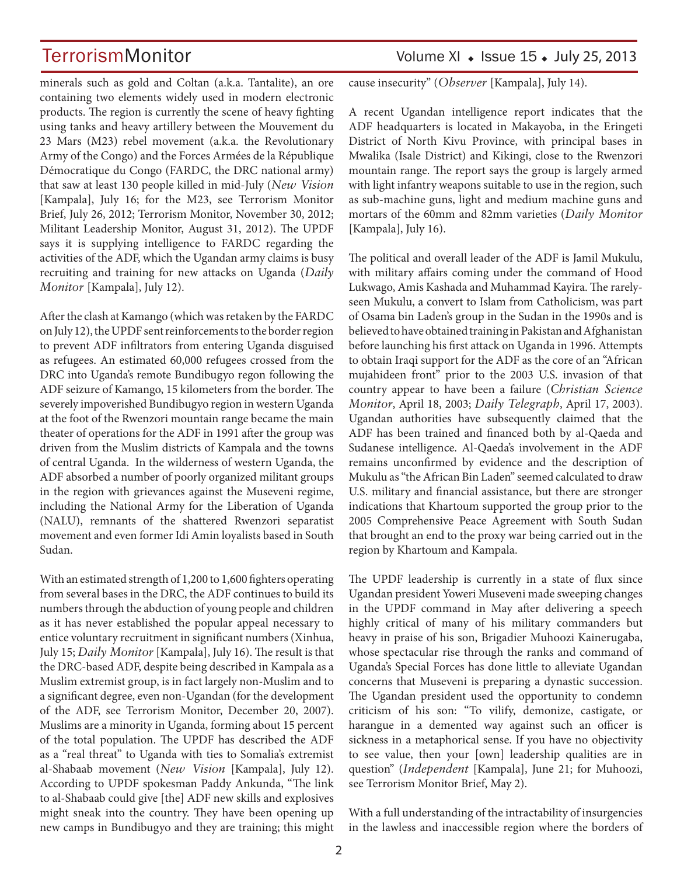minerals such as gold and Coltan (a.k.a. Tantalite), an ore containing two elements widely used in modern electronic products. The region is currently the scene of heavy fighting using tanks and heavy artillery between the Mouvement du 23 Mars (M23) rebel movement (a.k.a. the Revolutionary Army of the Congo) and the Forces Armées de la République Démocratique du Congo (FARDC, the DRC national army) that saw at least 130 people killed in mid-July (*New Vision* [Kampala], July 16; for the M23, see Terrorism Monitor Brief, July 26, 2012; Terrorism Monitor, November 30, 2012; Militant Leadership Monitor, August 31, 2012). The UPDF says it is supplying intelligence to FARDC regarding the activities of the ADF, which the Ugandan army claims is busy recruiting and training for new attacks on Uganda (*Daily Monitor* [Kampala], July 12).

After the clash at Kamango (which was retaken by the FARDC on July 12), the UPDF sent reinforcements to the border region to prevent ADF infiltrators from entering Uganda disguised as refugees. An estimated 60,000 refugees crossed from the DRC into Uganda's remote Bundibugyo regon following the ADF seizure of Kamango, 15 kilometers from the border. The severely impoverished Bundibugyo region in western Uganda at the foot of the Rwenzori mountain range became the main theater of operations for the ADF in 1991 after the group was driven from the Muslim districts of Kampala and the towns of central Uganda. In the wilderness of western Uganda, the ADF absorbed a number of poorly organized militant groups in the region with grievances against the Museveni regime, including the National Army for the Liberation of Uganda (NALU), remnants of the shattered Rwenzori separatist movement and even former Idi Amin loyalists based in South Sudan.

With an estimated strength of 1,200 to 1,600 fighters operating from several bases in the DRC, the ADF continues to build its numbers through the abduction of young people and children as it has never established the popular appeal necessary to entice voluntary recruitment in significant numbers (Xinhua, July 15; *Daily Monitor* [Kampala], July 16). The result is that the DRC-based ADF, despite being described in Kampala as a Muslim extremist group, is in fact largely non-Muslim and to a significant degree, even non-Ugandan (for the development of the ADF, see Terrorism Monitor, December 20, 2007). Muslims are a minority in Uganda, forming about 15 percent of the total population. The UPDF has described the ADF as a "real threat" to Uganda with ties to Somalia's extremist al-Shabaab movement (*New Vision* [Kampala], July 12). According to UPDF spokesman Paddy Ankunda, "The link to al-Shabaab could give [the] ADF new skills and explosives might sneak into the country. They have been opening up new camps in Bundibugyo and they are training; this might

# TerrorismMonitor Volume XI • Issue 15 • July 25, 2013

cause insecurity" (*Observer* [Kampala], July 14).

A recent Ugandan intelligence report indicates that the ADF headquarters is located in Makayoba, in the Eringeti District of North Kivu Province, with principal bases in Mwalika (Isale District) and Kikingi, close to the Rwenzori mountain range. The report says the group is largely armed with light infantry weapons suitable to use in the region, such as sub-machine guns, light and medium machine guns and mortars of the 60mm and 82mm varieties (*Daily Monitor* [Kampala], July 16).

The political and overall leader of the ADF is Jamil Mukulu, with military affairs coming under the command of Hood Lukwago, Amis Kashada and Muhammad Kayira. The rarelyseen Mukulu, a convert to Islam from Catholicism, was part of Osama bin Laden's group in the Sudan in the 1990s and is believed to have obtained training in Pakistan and Afghanistan before launching his first attack on Uganda in 1996. Attempts to obtain Iraqi support for the ADF as the core of an "African mujahideen front" prior to the 2003 U.S. invasion of that country appear to have been a failure (*Christian Science Monitor*, April 18, 2003; *Daily Telegraph*, April 17, 2003). Ugandan authorities have subsequently claimed that the ADF has been trained and financed both by al-Qaeda and Sudanese intelligence. Al-Qaeda's involvement in the ADF remains unconfirmed by evidence and the description of Mukulu as "the African Bin Laden" seemed calculated to draw U.S. military and financial assistance, but there are stronger indications that Khartoum supported the group prior to the 2005 Comprehensive Peace Agreement with South Sudan that brought an end to the proxy war being carried out in the region by Khartoum and Kampala.

The UPDF leadership is currently in a state of flux since Ugandan president Yoweri Museveni made sweeping changes in the UPDF command in May after delivering a speech highly critical of many of his military commanders but heavy in praise of his son, Brigadier Muhoozi Kainerugaba, whose spectacular rise through the ranks and command of Uganda's Special Forces has done little to alleviate Ugandan concerns that Museveni is preparing a dynastic succession. The Ugandan president used the opportunity to condemn criticism of his son: "To vilify, demonize, castigate, or harangue in a demented way against such an officer is sickness in a metaphorical sense. If you have no objectivity to see value, then your [own] leadership qualities are in question" (*Independent* [Kampala], June 21; for Muhoozi, see Terrorism Monitor Brief, May 2).

With a full understanding of the intractability of insurgencies in the lawless and inaccessible region where the borders of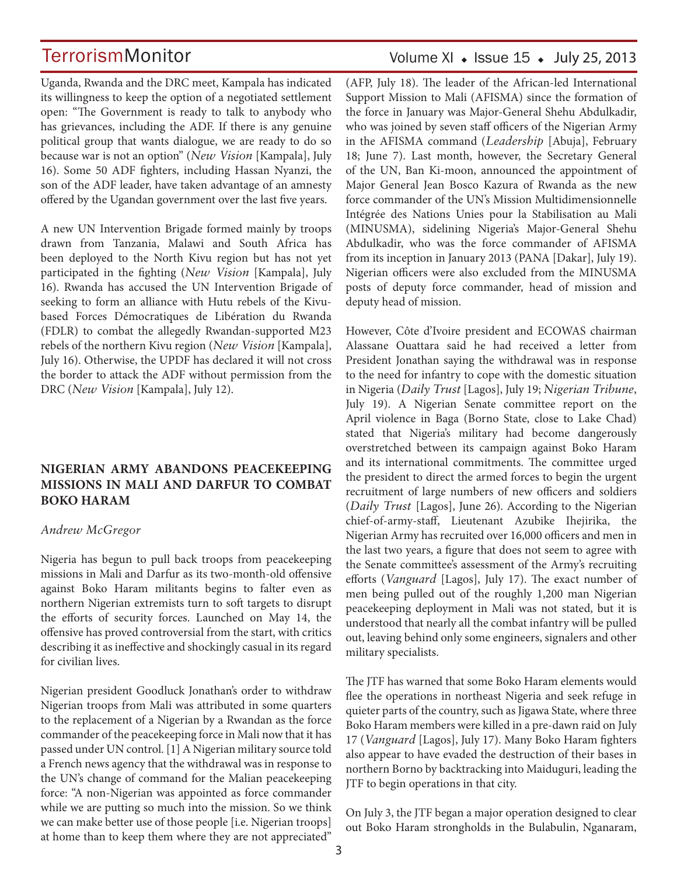Uganda, Rwanda and the DRC meet, Kampala has indicated its willingness to keep the option of a negotiated settlement open: "The Government is ready to talk to anybody who has grievances, including the ADF. If there is any genuine political group that wants dialogue, we are ready to do so because war is not an option" (*New Vision* [Kampala], July 16). Some 50 ADF fighters, including Hassan Nyanzi, the son of the ADF leader, have taken advantage of an amnesty offered by the Ugandan government over the last five years.

A new UN Intervention Brigade formed mainly by troops drawn from Tanzania, Malawi and South Africa has been deployed to the North Kivu region but has not yet participated in the fighting (*New Vision* [Kampala], July 16). Rwanda has accused the UN Intervention Brigade of seeking to form an alliance with Hutu rebels of the Kivubased Forces Démocratiques de Libération du Rwanda (FDLR) to combat the allegedly Rwandan-supported M23 rebels of the northern Kivu region (*New Vision* [Kampala], July 16). Otherwise, the UPDF has declared it will not cross the border to attack the ADF without permission from the DRC (*New Vision* [Kampala], July 12).

#### **NIGERIAN ARMY ABANDONS PEACEKEEPING MISSIONS IN MALI AND DARFUR TO COMBAT BOKO HARAM**

#### *Andrew McGregor*

Nigeria has begun to pull back troops from peacekeeping missions in Mali and Darfur as its two-month-old offensive against Boko Haram militants begins to falter even as northern Nigerian extremists turn to soft targets to disrupt the efforts of security forces. Launched on May 14, the offensive has proved controversial from the start, with critics describing it as ineffective and shockingly casual in its regard for civilian lives.

Nigerian president Goodluck Jonathan's order to withdraw Nigerian troops from Mali was attributed in some quarters to the replacement of a Nigerian by a Rwandan as the force commander of the peacekeeping force in Mali now that it has passed under UN control. [1] A Nigerian military source told a French news agency that the withdrawal was in response to the UN's change of command for the Malian peacekeeping force: "A non-Nigerian was appointed as force commander while we are putting so much into the mission. So we think we can make better use of those people [i.e. Nigerian troops] at home than to keep them where they are not appreciated"

### Volume XI  $\bullet$  Issue 15  $\bullet$  July 25, 2013

(AFP, July 18). The leader of the African-led International Support Mission to Mali (AFISMA) since the formation of the force in January was Major-General Shehu Abdulkadir, who was joined by seven staff officers of the Nigerian Army in the AFISMA command (*Leadership* [Abuja], February 18; June 7). Last month, however, the Secretary General of the UN, Ban Ki-moon, announced the appointment of Major General Jean Bosco Kazura of Rwanda as the new force commander of the UN's Mission Multidimensionnelle Intégrée des Nations Unies pour la Stabilisation au Mali (MINUSMA), sidelining Nigeria's Major-General Shehu Abdulkadir, who was the force commander of AFISMA from its inception in January 2013 (PANA [Dakar], July 19). Nigerian officers were also excluded from the MINUSMA posts of deputy force commander, head of mission and deputy head of mission.

However, Côte d'Ivoire president and ECOWAS chairman Alassane Ouattara said he had received a letter from President Jonathan saying the withdrawal was in response to the need for infantry to cope with the domestic situation in Nigeria (*Daily Trust* [Lagos], July 19; *Nigerian Tribune*, July 19). A Nigerian Senate committee report on the April violence in Baga (Borno State, close to Lake Chad) stated that Nigeria's military had become dangerously overstretched between its campaign against Boko Haram and its international commitments. The committee urged the president to direct the armed forces to begin the urgent recruitment of large numbers of new officers and soldiers (*Daily Trust* [Lagos], June 26). According to the Nigerian chief-of-army-staff, Lieutenant Azubike Ihejirika, the Nigerian Army has recruited over 16,000 officers and men in the last two years, a figure that does not seem to agree with the Senate committee's assessment of the Army's recruiting efforts (*Vanguard* [Lagos], July 17). The exact number of men being pulled out of the roughly 1,200 man Nigerian peacekeeping deployment in Mali was not stated, but it is understood that nearly all the combat infantry will be pulled out, leaving behind only some engineers, signalers and other military specialists.

The JTF has warned that some Boko Haram elements would flee the operations in northeast Nigeria and seek refuge in quieter parts of the country, such as Jigawa State, where three Boko Haram members were killed in a pre-dawn raid on July 17 (*Vanguard* [Lagos], July 17). Many Boko Haram fighters also appear to have evaded the destruction of their bases in northern Borno by backtracking into Maiduguri, leading the JTF to begin operations in that city.

On July 3, the JTF began a major operation designed to clear out Boko Haram strongholds in the Bulabulin, Nganaram,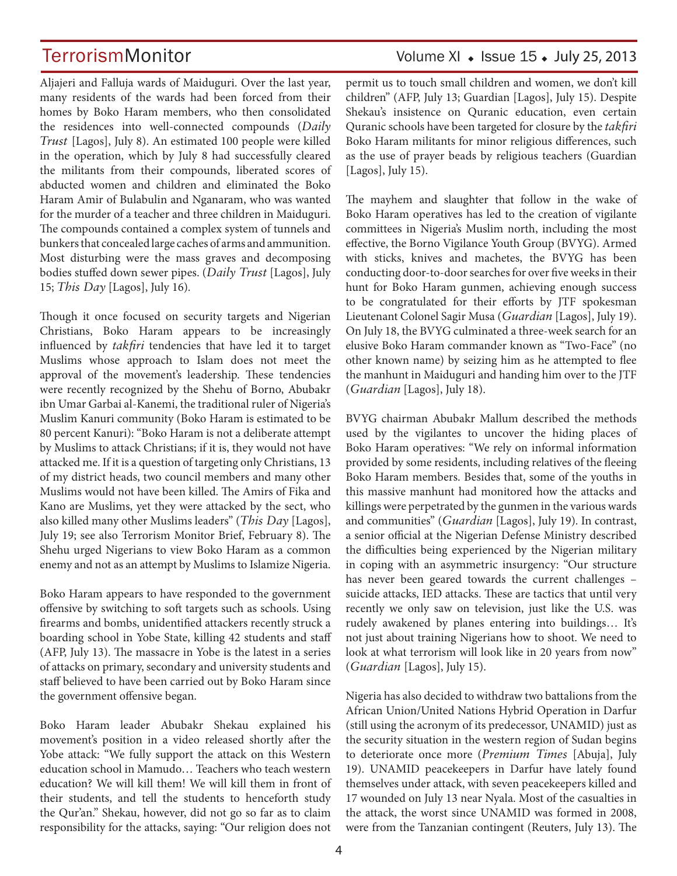# TerrorismMonitor Volume XI • Issue 15 • July 25, 2013

Aljajeri and Falluja wards of Maiduguri. Over the last year, many residents of the wards had been forced from their homes by Boko Haram members, who then consolidated the residences into well-connected compounds (*Daily Trust* [Lagos], July 8). An estimated 100 people were killed in the operation, which by July 8 had successfully cleared the militants from their compounds, liberated scores of abducted women and children and eliminated the Boko Haram Amir of Bulabulin and Nganaram, who was wanted for the murder of a teacher and three children in Maiduguri. The compounds contained a complex system of tunnels and bunkers that concealed large caches of arms and ammunition. Most disturbing were the mass graves and decomposing bodies stuffed down sewer pipes. (*Daily Trust* [Lagos], July 15; *This Day* [Lagos], July 16).

Though it once focused on security targets and Nigerian Christians, Boko Haram appears to be increasingly influenced by *takfiri* tendencies that have led it to target Muslims whose approach to Islam does not meet the approval of the movement's leadership. These tendencies were recently recognized by the Shehu of Borno, Abubakr ibn Umar Garbai al-Kanemi, the traditional ruler of Nigeria's Muslim Kanuri community (Boko Haram is estimated to be 80 percent Kanuri): "Boko Haram is not a deliberate attempt by Muslims to attack Christians; if it is, they would not have attacked me. If it is a question of targeting only Christians, 13 of my district heads, two council members and many other Muslims would not have been killed. The Amirs of Fika and Kano are Muslims, yet they were attacked by the sect, who also killed many other Muslims leaders" (*This Day* [Lagos], July 19; see also Terrorism Monitor Brief, February 8). The Shehu urged Nigerians to view Boko Haram as a common enemy and not as an attempt by Muslims to Islamize Nigeria.

Boko Haram appears to have responded to the government offensive by switching to soft targets such as schools. Using firearms and bombs, unidentified attackers recently struck a boarding school in Yobe State, killing 42 students and staff (AFP, July 13). The massacre in Yobe is the latest in a series of attacks on primary, secondary and university students and staff believed to have been carried out by Boko Haram since the government offensive began.

Boko Haram leader Abubakr Shekau explained his movement's position in a video released shortly after the Yobe attack: "We fully support the attack on this Western education school in Mamudo… Teachers who teach western education? We will kill them! We will kill them in front of their students, and tell the students to henceforth study the Qur'an." Shekau, however, did not go so far as to claim responsibility for the attacks, saying: "Our religion does not permit us to touch small children and women, we don't kill children" (AFP, July 13; Guardian [Lagos], July 15). Despite Shekau's insistence on Quranic education, even certain Quranic schools have been targeted for closure by the *takfiri*  Boko Haram militants for minor religious differences, such as the use of prayer beads by religious teachers (Guardian [Lagos], July 15).

The mayhem and slaughter that follow in the wake of Boko Haram operatives has led to the creation of vigilante committees in Nigeria's Muslim north, including the most effective, the Borno Vigilance Youth Group (BVYG). Armed with sticks, knives and machetes, the BVYG has been conducting door-to-door searches for over five weeks in their hunt for Boko Haram gunmen, achieving enough success to be congratulated for their efforts by JTF spokesman Lieutenant Colonel Sagir Musa (*Guardian* [Lagos], July 19). On July 18, the BVYG culminated a three-week search for an elusive Boko Haram commander known as "Two-Face" (no other known name) by seizing him as he attempted to flee the manhunt in Maiduguri and handing him over to the JTF (*Guardian* [Lagos], July 18).

BVYG chairman Abubakr Mallum described the methods used by the vigilantes to uncover the hiding places of Boko Haram operatives: "We rely on informal information provided by some residents, including relatives of the fleeing Boko Haram members. Besides that, some of the youths in this massive manhunt had monitored how the attacks and killings were perpetrated by the gunmen in the various wards and communities" (*Guardian* [Lagos], July 19). In contrast, a senior official at the Nigerian Defense Ministry described the difficulties being experienced by the Nigerian military in coping with an asymmetric insurgency: "Our structure has never been geared towards the current challenges – suicide attacks, IED attacks. These are tactics that until very recently we only saw on television, just like the U.S. was rudely awakened by planes entering into buildings… It's not just about training Nigerians how to shoot. We need to look at what terrorism will look like in 20 years from now" (*Guardian* [Lagos], July 15).

Nigeria has also decided to withdraw two battalions from the African Union/United Nations Hybrid Operation in Darfur (still using the acronym of its predecessor, UNAMID) just as the security situation in the western region of Sudan begins to deteriorate once more (*Premium Times* [Abuja], July 19). UNAMID peacekeepers in Darfur have lately found themselves under attack, with seven peacekeepers killed and 17 wounded on July 13 near Nyala. Most of the casualties in the attack, the worst since UNAMID was formed in 2008, were from the Tanzanian contingent (Reuters, July 13). The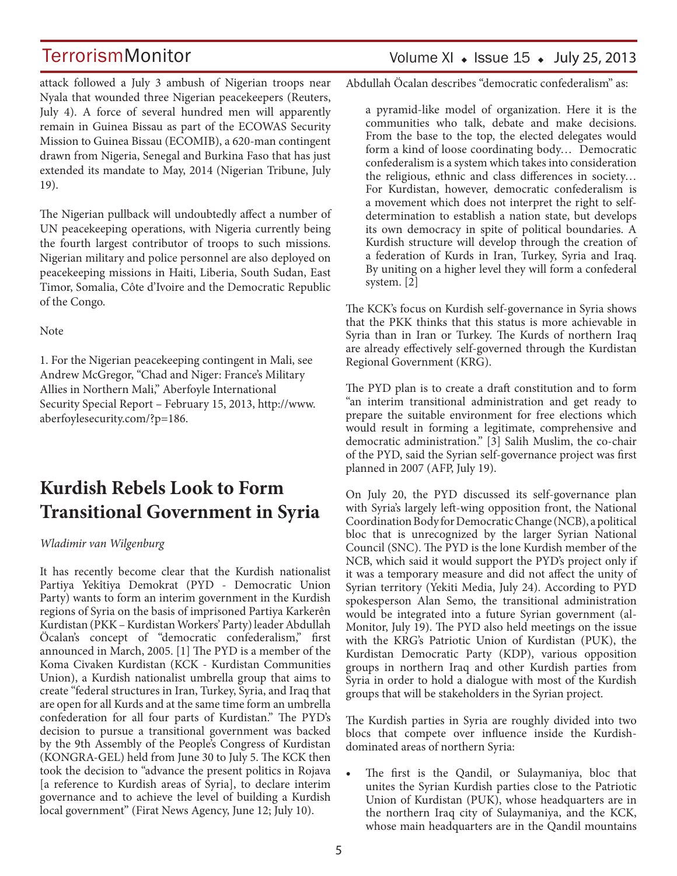attack followed a July 3 ambush of Nigerian troops near Nyala that wounded three Nigerian peacekeepers (Reuters, July 4). A force of several hundred men will apparently remain in Guinea Bissau as part of the ECOWAS Security Mission to Guinea Bissau (ECOMIB), a 620-man contingent drawn from Nigeria, Senegal and Burkina Faso that has just extended its mandate to May, 2014 (Nigerian Tribune, July 19).

The Nigerian pullback will undoubtedly affect a number of UN peacekeeping operations, with Nigeria currently being the fourth largest contributor of troops to such missions. Nigerian military and police personnel are also deployed on peacekeeping missions in Haiti, Liberia, South Sudan, East Timor, Somalia, Côte d'Ivoire and the Democratic Republic of the Congo.

#### **Note**

1. For the Nigerian peacekeeping contingent in Mali, see Andrew McGregor, "Chad and Niger: France's Military Allies in Northern Mali," Aberfoyle International Security Special Report – February 15, 2013, http://www. aberfoylesecurity.com/?p=186.

# **Kurdish Rebels Look to Form Transitional Government in Syria**

#### *Wladimir van Wilgenburg*

It has recently become clear that the Kurdish nationalist Partiya Yekîtiya Demokrat (PYD - Democratic Union Party) wants to form an interim government in the Kurdish regions of Syria on the basis of imprisoned Partiya Karkerên Kurdistan (PKK – Kurdistan Workers' Party) leader Abdullah Öcalan's concept of "democratic confederalism," first announced in March, 2005. [1] The PYD is a member of the Koma Civaken Kurdistan (KCK - Kurdistan Communities Union), a Kurdish nationalist umbrella group that aims to create "federal structures in Iran, Turkey, Syria, and Iraq that are open for all Kurds and at the same time form an umbrella confederation for all four parts of Kurdistan." The PYD's decision to pursue a transitional government was backed by the 9th Assembly of the People's Congress of Kurdistan (KONGRA-GEL) held from June 30 to July 5. The KCK then took the decision to "advance the present politics in Rojava [a reference to Kurdish areas of Syria], to declare interim governance and to achieve the level of building a Kurdish local government" (Firat News Agency, June 12; July 10).

### Volume XI  $\bullet$  Issue 15  $\bullet$  July 25, 2013

Abdullah Öcalan describes "democratic confederalism" as:

a pyramid-like model of organization. Here it is the communities who talk, debate and make decisions. From the base to the top, the elected delegates would form a kind of loose coordinating body… Democratic confederalism is a system which takes into consideration the religious, ethnic and class differences in society… For Kurdistan, however, democratic confederalism is a movement which does not interpret the right to selfdetermination to establish a nation state, but develops its own democracy in spite of political boundaries. A Kurdish structure will develop through the creation of a federation of Kurds in Iran, Turkey, Syria and Iraq. By uniting on a higher level they will form a confederal system. [2]

The KCK's focus on Kurdish self-governance in Syria shows that the PKK thinks that this status is more achievable in Syria than in Iran or Turkey. The Kurds of northern Iraq are already effectively self-governed through the Kurdistan Regional Government (KRG).

The PYD plan is to create a draft constitution and to form "an interim transitional administration and get ready to prepare the suitable environment for free elections which would result in forming a legitimate, comprehensive and democratic administration." [3] Salih Muslim, the co-chair of the PYD, said the Syrian self-governance project was first planned in 2007 (AFP, July 19).

On July 20, the PYD discussed its self-governance plan with Syria's largely left-wing opposition front, the National Coordination Body for Democratic Change (NCB), a political bloc that is unrecognized by the larger Syrian National Council (SNC). The PYD is the lone Kurdish member of the NCB, which said it would support the PYD's project only if it was a temporary measure and did not affect the unity of Syrian territory (Yekiti Media, July 24). According to PYD spokesperson Alan Semo, the transitional administration would be integrated into a future Syrian government (al-Monitor, July 19). The PYD also held meetings on the issue with the KRG's Patriotic Union of Kurdistan (PUK), the Kurdistan Democratic Party (KDP), various opposition groups in northern Iraq and other Kurdish parties from Syria in order to hold a dialogue with most of the Kurdish groups that will be stakeholders in the Syrian project.

The Kurdish parties in Syria are roughly divided into two blocs that compete over influence inside the Kurdishdominated areas of northern Syria:

The first is the Qandil, or Sulaymaniya, bloc that unites the Syrian Kurdish parties close to the Patriotic Union of Kurdistan (PUK), whose headquarters are in the northern Iraq city of Sulaymaniya, and the KCK, whose main headquarters are in the Qandil mountains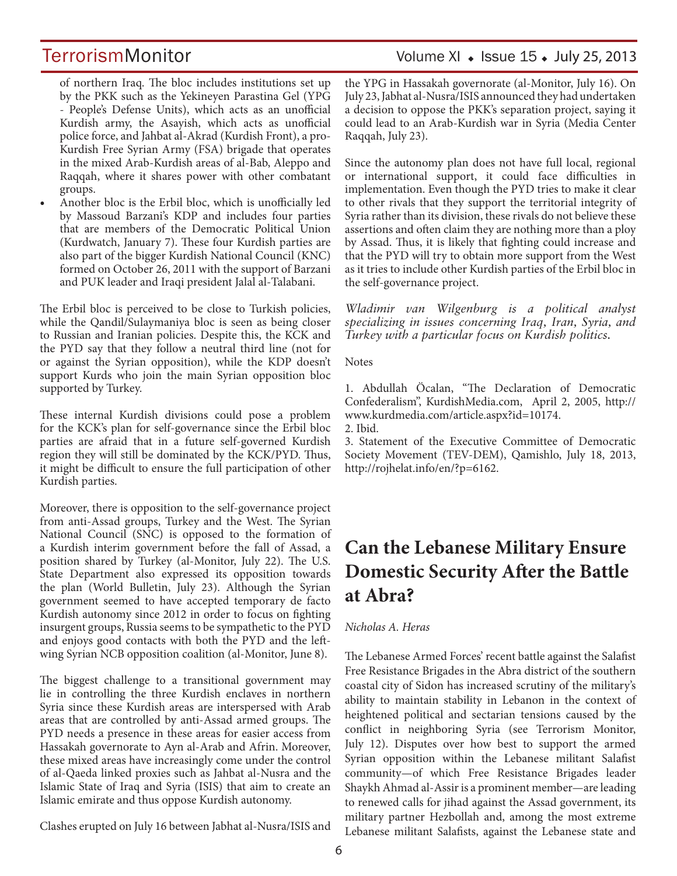# TerrorismMonitor Volume XI + Issue 15 + July 25, 2013

of northern Iraq. The bloc includes institutions set up by the PKK such as the Yekineyen Parastina Gel (YPG - People's Defense Units), which acts as an unofficial Kurdish army, the Asayish, which acts as unofficial police force, and Jahbat al-Akrad (Kurdish Front), a pro-Kurdish Free Syrian Army (FSA) brigade that operates in the mixed Arab-Kurdish areas of al-Bab, Aleppo and Raqqah, where it shares power with other combatant groups.

• Another bloc is the Erbil bloc, which is unofficially led by Massoud Barzani's KDP and includes four parties that are members of the Democratic Political Union (Kurdwatch, January 7). These four Kurdish parties are also part of the bigger Kurdish National Council (KNC) formed on October 26, 2011 with the support of Barzani and PUK leader and Iraqi president Jalal al-Talabani.

The Erbil bloc is perceived to be close to Turkish policies, while the Qandil/Sulaymaniya bloc is seen as being closer to Russian and Iranian policies. Despite this, the KCK and the PYD say that they follow a neutral third line (not for or against the Syrian opposition), while the KDP doesn't support Kurds who join the main Syrian opposition bloc supported by Turkey.

These internal Kurdish divisions could pose a problem for the KCK's plan for self-governance since the Erbil bloc parties are afraid that in a future self-governed Kurdish region they will still be dominated by the KCK/PYD. Thus, it might be difficult to ensure the full participation of other Kurdish parties.

Moreover, there is opposition to the self-governance project from anti-Assad groups, Turkey and the West. The Syrian National Council (SNC) is opposed to the formation of a Kurdish interim government before the fall of Assad, a position shared by Turkey (al-Monitor, July 22). The U.S. State Department also expressed its opposition towards the plan (World Bulletin, July 23). Although the Syrian government seemed to have accepted temporary de facto Kurdish autonomy since 2012 in order to focus on fighting insurgent groups, Russia seems to be sympathetic to the PYD and enjoys good contacts with both the PYD and the leftwing Syrian NCB opposition coalition (al-Monitor, June 8).

The biggest challenge to a transitional government may lie in controlling the three Kurdish enclaves in northern Syria since these Kurdish areas are interspersed with Arab areas that are controlled by anti-Assad armed groups. The PYD needs a presence in these areas for easier access from Hassakah governorate to Ayn al-Arab and Afrin. Moreover, these mixed areas have increasingly come under the control of al-Qaeda linked proxies such as Jahbat al-Nusra and the Islamic State of Iraq and Syria (ISIS) that aim to create an Islamic emirate and thus oppose Kurdish autonomy.

Clashes erupted on July 16 between Jabhat al-Nusra/ISIS and

the YPG in Hassakah governorate (al-Monitor, July 16). On July 23, Jabhat al-Nusra/ISIS announced they had undertaken a decision to oppose the PKK's separation project, saying it could lead to an Arab-Kurdish war in Syria (Media Center Raqqah, July 23).

Since the autonomy plan does not have full local, regional or international support, it could face difficulties in implementation. Even though the PYD tries to make it clear to other rivals that they support the territorial integrity of Syria rather than its division, these rivals do not believe these assertions and often claim they are nothing more than a ploy by Assad. Thus, it is likely that fighting could increase and that the PYD will try to obtain more support from the West as it tries to include other Kurdish parties of the Erbil bloc in the self-governance project.

*Wladimir van Wilgenburg is a political analyst specializing in issues concerning Iraq, Iran, Syria, and Turkey with a particular focus on Kurdish politics.*

#### **Notes**

1. Abdullah Öcalan, "The Declaration of Democratic Confederalism", KurdishMedia.com, April 2, 2005, http:// www.kurdmedia.com/article.aspx?id=10174. 2. Ibid.

3. Statement of the Executive Committee of Democratic Society Movement (TEV-DEM), Qamishlo, July 18, 2013, http://rojhelat.info/en/?p=6162.

# **Can the Lebanese Military Ensure Domestic Security After the Battle at Abra?**

#### *Nicholas A. Heras*

The Lebanese Armed Forces' recent battle against the Salafist Free Resistance Brigades in the Abra district of the southern coastal city of Sidon has increased scrutiny of the military's ability to maintain stability in Lebanon in the context of heightened political and sectarian tensions caused by the conflict in neighboring Syria (see Terrorism Monitor, July 12). Disputes over how best to support the armed Syrian opposition within the Lebanese militant Salafist community—of which Free Resistance Brigades leader Shaykh Ahmad al-Assir is a prominent member—are leading to renewed calls for jihad against the Assad government, its military partner Hezbollah and, among the most extreme Lebanese militant Salafists, against the Lebanese state and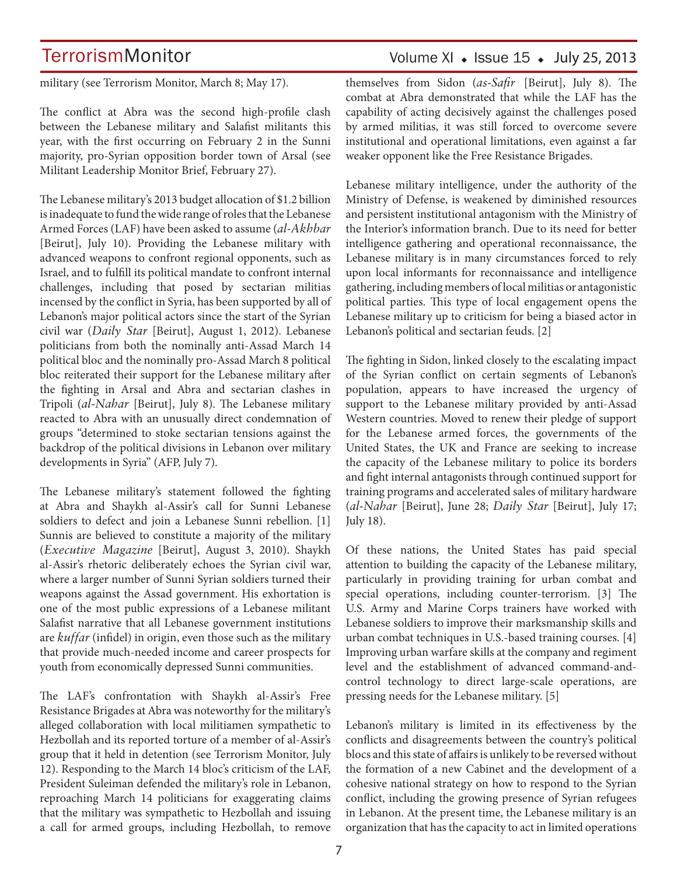# Volume XI  $\bullet$  Issue 15  $\bullet$  July 25, 2013

military (see Terrorism Monitor, March 8; May 17).

The conflict at Abra was the second high-profile clash between the Lebanese military and Salafist militants this year, with the first occurring on February 2 in the Sunni majority, pro-Syrian opposition border town of Arsal (see Militant Leadership Monitor Brief, February 27).

The Lebanese military's 2013 budget allocation of \$1.2 billion is inadequate to fund the wide range of roles that the Lebanese Armed Forces (LAF) have been asked to assume (*al-Akhbar* [Beirut], July 10). Providing the Lebanese military with advanced weapons to confront regional opponents, such as Israel, and to fulfill its political mandate to confront internal challenges, including that posed by sectarian militias incensed by the conflict in Syria, has been supported by all of Lebanon's major political actors since the start of the Syrian civil war (*Daily Star* [Beirut], August 1, 2012). Lebanese politicians from both the nominally anti-Assad March 14 political bloc and the nominally pro-Assad March 8 political bloc reiterated their support for the Lebanese military after the fighting in Arsal and Abra and sectarian clashes in Tripoli (*al-Nahar* [Beirut], July 8). The Lebanese military reacted to Abra with an unusually direct condemnation of groups "determined to stoke sectarian tensions against the backdrop of the political divisions in Lebanon over military developments in Syria" (AFP, July 7).

The Lebanese military's statement followed the fighting at Abra and Shaykh al-Assir's call for Sunni Lebanese soldiers to defect and join a Lebanese Sunni rebellion. [1] Sunnis are believed to constitute a majority of the military (*Executive Magazine* [Beirut], August 3, 2010). Shaykh al-Assir's rhetoric deliberately echoes the Syrian civil war, where a larger number of Sunni Syrian soldiers turned their weapons against the Assad government. His exhortation is one of the most public expressions of a Lebanese militant Salafist narrative that all Lebanese government institutions are *kuffar* (infidel) in origin, even those such as the military that provide much-needed income and career prospects for youth from economically depressed Sunni communities.

The LAF's confrontation with Shaykh al-Assir's Free Resistance Brigades at Abra was noteworthy for the military's alleged collaboration with local militiamen sympathetic to Hezbollah and its reported torture of a member of al-Assir's group that it held in detention (see Terrorism Monitor, July 12). Responding to the March 14 bloc's criticism of the LAF, President Suleiman defended the military's role in Lebanon, reproaching March 14 politicians for exaggerating claims that the military was sympathetic to Hezbollah and issuing a call for armed groups, including Hezbollah, to remove themselves from Sidon (*as-Safir* [Beirut], July 8). The combat at Abra demonstrated that while the LAF has the capability of acting decisively against the challenges posed by armed militias, it was still forced to overcome severe institutional and operational limitations, even against a far weaker opponent like the Free Resistance Brigades.

Lebanese military intelligence, under the authority of the Ministry of Defense, is weakened by diminished resources and persistent institutional antagonism with the Ministry of the Interior's information branch. Due to its need for better intelligence gathering and operational reconnaissance, the Lebanese military is in many circumstances forced to rely upon local informants for reconnaissance and intelligence gathering, including members of local militias or antagonistic political parties. This type of local engagement opens the Lebanese military up to criticism for being a biased actor in Lebanon's political and sectarian feuds. [2]

The fighting in Sidon, linked closely to the escalating impact of the Syrian conflict on certain segments of Lebanon's population, appears to have increased the urgency of support to the Lebanese military provided by anti-Assad Western countries. Moved to renew their pledge of support for the Lebanese armed forces, the governments of the United States, the UK and France are seeking to increase the capacity of the Lebanese military to police its borders and fight internal antagonists through continued support for training programs and accelerated sales of military hardware (*al-Nahar* [Beirut], June 28; *Daily Star* [Beirut], July 17; July 18).

Of these nations, the United States has paid special attention to building the capacity of the Lebanese military, particularly in providing training for urban combat and special operations, including counter-terrorism. [3] The U.S. Army and Marine Corps trainers have worked with Lebanese soldiers to improve their marksmanship skills and urban combat techniques in U.S.-based training courses. [4] Improving urban warfare skills at the company and regiment level and the establishment of advanced command-andcontrol technology to direct large-scale operations, are pressing needs for the Lebanese military. [5]

Lebanon's military is limited in its effectiveness by the conflicts and disagreements between the country's political blocs and this state of affairs is unlikely to be reversed without the formation of a new Cabinet and the development of a cohesive national strategy on how to respond to the Syrian conflict, including the growing presence of Syrian refugees in Lebanon. At the present time, the Lebanese military is an organization that has the capacity to act in limited operations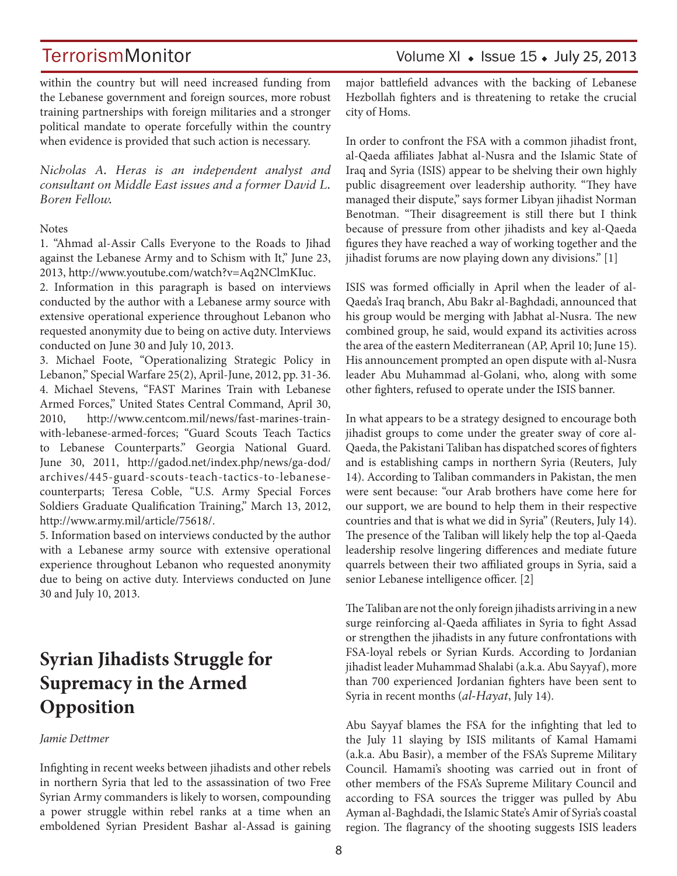within the country but will need increased funding from the Lebanese government and foreign sources, more robust training partnerships with foreign militaries and a stronger political mandate to operate forcefully within the country when evidence is provided that such action is necessary.

*Nicholas A. Heras is an independent analyst and consultant on Middle East issues and a former David L. Boren Fellow.*

#### **Notes**

1. "Ahmad al-Assir Calls Everyone to the Roads to Jihad against the Lebanese Army and to Schism with It," June 23, 2013, http://www.youtube.com/watch?v=Aq2NClmKIuc.

2. Information in this paragraph is based on interviews conducted by the author with a Lebanese army source with extensive operational experience throughout Lebanon who requested anonymity due to being on active duty. Interviews conducted on June 30 and July 10, 2013.

3. Michael Foote, "Operationalizing Strategic Policy in Lebanon," Special Warfare 25(2), April-June, 2012, pp. 31-36. 4. Michael Stevens, "FAST Marines Train with Lebanese Armed Forces," United States Central Command, April 30, 2010, http://www.centcom.mil/news/fast-marines-trainwith-lebanese-armed-forces; "Guard Scouts Teach Tactics to Lebanese Counterparts." Georgia National Guard. June 30, 2011, http://gadod.net/index.php/news/ga-dod/ archives/445-guard-scouts-teach-tactics-to-lebanesecounterparts; Teresa Coble, "U.S. Army Special Forces Soldiers Graduate Qualification Training," March 13, 2012, http://www.army.mil/article/75618/.

5. Information based on interviews conducted by the author with a Lebanese army source with extensive operational experience throughout Lebanon who requested anonymity due to being on active duty. Interviews conducted on June 30 and July 10, 2013.

# **Syrian Jihadists Struggle for Supremacy in the Armed Opposition**

#### *Jamie Dettmer*

Infighting in recent weeks between jihadists and other rebels in northern Syria that led to the assassination of two Free Syrian Army commanders is likely to worsen, compounding a power struggle within rebel ranks at a time when an emboldened Syrian President Bashar al-Assad is gaining major battlefield advances with the backing of Lebanese Hezbollah fighters and is threatening to retake the crucial city of Homs.

In order to confront the FSA with a common jihadist front, al-Qaeda affiliates Jabhat al-Nusra and the Islamic State of Iraq and Syria (ISIS) appear to be shelving their own highly public disagreement over leadership authority. "They have managed their dispute," says former Libyan jihadist Norman Benotman. "Their disagreement is still there but I think because of pressure from other jihadists and key al-Qaeda figures they have reached a way of working together and the jihadist forums are now playing down any divisions." [1]

ISIS was formed officially in April when the leader of al-Qaeda's Iraq branch, Abu Bakr al-Baghdadi, announced that his group would be merging with Jabhat al-Nusra. The new combined group, he said, would expand its activities across the area of the eastern Mediterranean (AP, April 10; June 15). His announcement prompted an open dispute with al-Nusra leader Abu Muhammad al-Golani, who, along with some other fighters, refused to operate under the ISIS banner.

In what appears to be a strategy designed to encourage both jihadist groups to come under the greater sway of core al-Qaeda, the Pakistani Taliban has dispatched scores of fighters and is establishing camps in northern Syria (Reuters, July 14). According to Taliban commanders in Pakistan, the men were sent because: "our Arab brothers have come here for our support, we are bound to help them in their respective countries and that is what we did in Syria" (Reuters, July 14). The presence of the Taliban will likely help the top al-Qaeda leadership resolve lingering differences and mediate future quarrels between their two affiliated groups in Syria, said a senior Lebanese intelligence officer. [2]

The Taliban are not the only foreign jihadists arriving in a new surge reinforcing al-Qaeda affiliates in Syria to fight Assad or strengthen the jihadists in any future confrontations with FSA-loyal rebels or Syrian Kurds. According to Jordanian jihadist leader Muhammad Shalabi (a.k.a. Abu Sayyaf), more than 700 experienced Jordanian fighters have been sent to Syria in recent months (*al-Hayat*, July 14).

Abu Sayyaf blames the FSA for the infighting that led to the July 11 slaying by ISIS militants of Kamal Hamami (a.k.a. Abu Basir), a member of the FSA's Supreme Military Council. Hamami's shooting was carried out in front of other members of the FSA's Supreme Military Council and according to FSA sources the trigger was pulled by Abu Ayman al-Baghdadi, the Islamic State's Amir of Syria's coastal region. The flagrancy of the shooting suggests ISIS leaders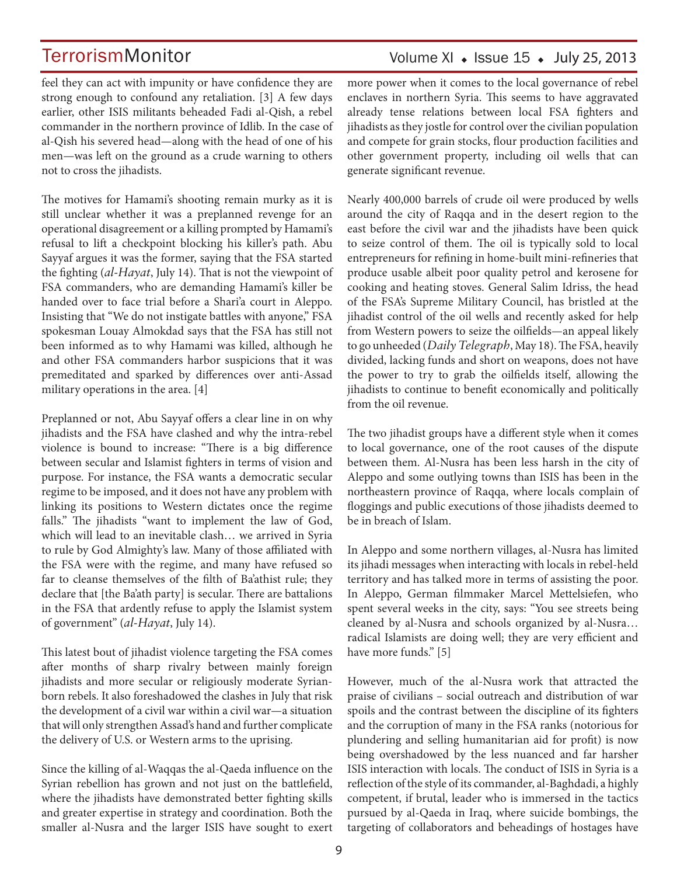# Volume XI  $\bullet$  Issue 15  $\bullet$  July 25, 2013

feel they can act with impunity or have confidence they are strong enough to confound any retaliation. [3] A few days earlier, other ISIS militants beheaded Fadi al-Qish, a rebel commander in the northern province of Idlib. In the case of al-Qish his severed head—along with the head of one of his men—was left on the ground as a crude warning to others not to cross the jihadists.

The motives for Hamami's shooting remain murky as it is still unclear whether it was a preplanned revenge for an operational disagreement or a killing prompted by Hamami's refusal to lift a checkpoint blocking his killer's path. Abu Sayyaf argues it was the former, saying that the FSA started the fighting (*al-Hayat*, July 14). That is not the viewpoint of FSA commanders, who are demanding Hamami's killer be handed over to face trial before a Shari'a court in Aleppo. Insisting that "We do not instigate battles with anyone," FSA spokesman Louay Almokdad says that the FSA has still not been informed as to why Hamami was killed, although he and other FSA commanders harbor suspicions that it was premeditated and sparked by differences over anti-Assad military operations in the area. [4]

Preplanned or not, Abu Sayyaf offers a clear line in on why jihadists and the FSA have clashed and why the intra-rebel violence is bound to increase: "There is a big difference between secular and Islamist fighters in terms of vision and purpose. For instance, the FSA wants a democratic secular regime to be imposed, and it does not have any problem with linking its positions to Western dictates once the regime falls." The jihadists "want to implement the law of God, which will lead to an inevitable clash… we arrived in Syria to rule by God Almighty's law. Many of those affiliated with the FSA were with the regime, and many have refused so far to cleanse themselves of the filth of Ba'athist rule; they declare that [the Ba'ath party] is secular. There are battalions in the FSA that ardently refuse to apply the Islamist system of government" (*al-Hayat*, July 14).

This latest bout of jihadist violence targeting the FSA comes after months of sharp rivalry between mainly foreign jihadists and more secular or religiously moderate Syrianborn rebels. It also foreshadowed the clashes in July that risk the development of a civil war within a civil war—a situation that will only strengthen Assad's hand and further complicate the delivery of U.S. or Western arms to the uprising.

Since the killing of al-Waqqas the al-Qaeda influence on the Syrian rebellion has grown and not just on the battlefield, where the jihadists have demonstrated better fighting skills and greater expertise in strategy and coordination. Both the smaller al-Nusra and the larger ISIS have sought to exert more power when it comes to the local governance of rebel enclaves in northern Syria. This seems to have aggravated already tense relations between local FSA fighters and jihadists as they jostle for control over the civilian population and compete for grain stocks, flour production facilities and other government property, including oil wells that can generate significant revenue.

Nearly 400,000 barrels of crude oil were produced by wells around the city of Raqqa and in the desert region to the east before the civil war and the jihadists have been quick to seize control of them. The oil is typically sold to local entrepreneurs for refining in home-built mini-refineries that produce usable albeit poor quality petrol and kerosene for cooking and heating stoves. General Salim Idriss, the head of the FSA's Supreme Military Council, has bristled at the jihadist control of the oil wells and recently asked for help from Western powers to seize the oilfields—an appeal likely to go unheeded (*Daily Telegraph*, May 18). The FSA, heavily divided, lacking funds and short on weapons, does not have the power to try to grab the oilfields itself, allowing the jihadists to continue to benefit economically and politically from the oil revenue.

The two jihadist groups have a different style when it comes to local governance, one of the root causes of the dispute between them. Al-Nusra has been less harsh in the city of Aleppo and some outlying towns than ISIS has been in the northeastern province of Raqqa, where locals complain of floggings and public executions of those jihadists deemed to be in breach of Islam.

In Aleppo and some northern villages, al-Nusra has limited its jihadi messages when interacting with locals in rebel-held territory and has talked more in terms of assisting the poor. In Aleppo, German filmmaker Marcel Mettelsiefen, who spent several weeks in the city, says: "You see streets being cleaned by al-Nusra and schools organized by al-Nusra… radical Islamists are doing well; they are very efficient and have more funds." [5]

However, much of the al-Nusra work that attracted the praise of civilians – social outreach and distribution of war spoils and the contrast between the discipline of its fighters and the corruption of many in the FSA ranks (notorious for plundering and selling humanitarian aid for profit) is now being overshadowed by the less nuanced and far harsher ISIS interaction with locals. The conduct of ISIS in Syria is a reflection of the style of its commander, al-Baghdadi, a highly competent, if brutal, leader who is immersed in the tactics pursued by al-Qaeda in Iraq, where suicide bombings, the targeting of collaborators and beheadings of hostages have